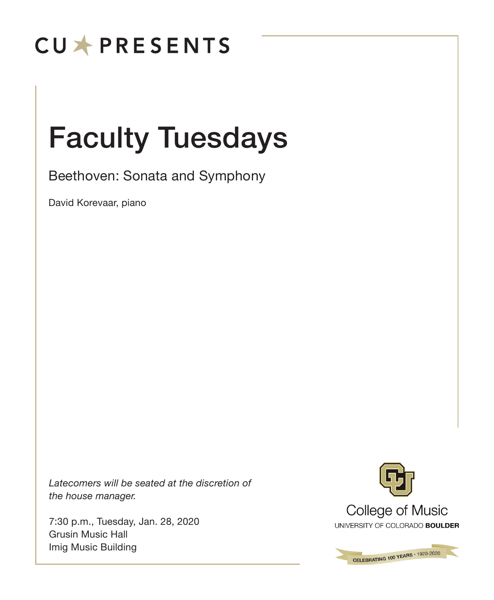# **CUXPRESENTS**

# Faculty Tuesdays

Beethoven: Sonata and Symphony

David Korevaar, piano

*Latecomers will be seated at the discretion of the house manager.*

7:30 p.m., Tuesday, Jan. 28, 2020 Grusin Music Hall Imig Music Building



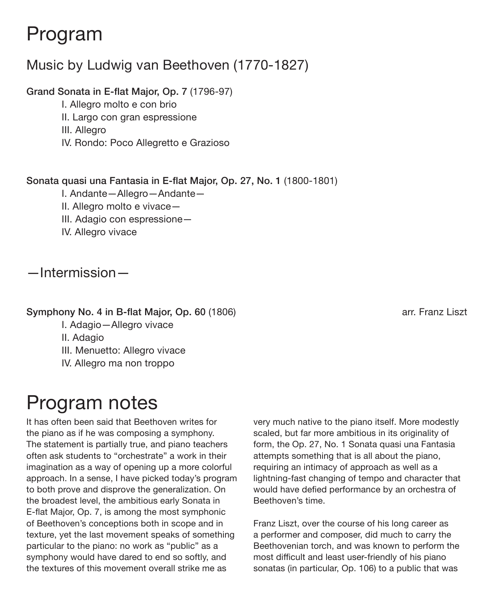## Program

## Music by Ludwig van Beethoven (1770-1827)

### Grand Sonata in E-flat Major, Op. 7 (1796-97)

- I. Allegro molto e con brio
- II. Largo con gran espressione
- III. Allegro
- IV. Rondo: Poco Allegretto e Grazioso

### Sonata quasi una Fantasia in E-flat Major, Op. 27, No. 1 (1800-1801)

- I. Andante—Allegro—Andante—
- II. Allegro molto e vivace—
- III. Adagio con espressione—
- IV. Allegro vivace

### —Intermission—

#### Symphony No. 4 in B-flat Major, Op. 60 (1806) arr. Franz Liszt

- I. Adagio—Allegro vivace
- II. Adagio
- III. Menuetto: Allegro vivace
- IV. Allegro ma non troppo

# Program notes

It has often been said that Beethoven writes for the piano as if he was composing a symphony. The statement is partially true, and piano teachers often ask students to "orchestrate" a work in their imagination as a way of opening up a more colorful approach. In a sense, I have picked today's program to both prove and disprove the generalization. On the broadest level, the ambitious early Sonata in E-flat Major, Op. 7, is among the most symphonic of Beethoven's conceptions both in scope and in texture, yet the last movement speaks of something particular to the piano: no work as "public" as a symphony would have dared to end so softly, and the textures of this movement overall strike me as

very much native to the piano itself. More modestly scaled, but far more ambitious in its originality of form, the Op. 27, No. 1 Sonata quasi una Fantasia attempts something that is all about the piano, requiring an intimacy of approach as well as a lightning-fast changing of tempo and character that would have defied performance by an orchestra of Beethoven's time.

Franz Liszt, over the course of his long career as a performer and composer, did much to carry the Beethovenian torch, and was known to perform the most difficult and least user-friendly of his piano sonatas (in particular, Op. 106) to a public that was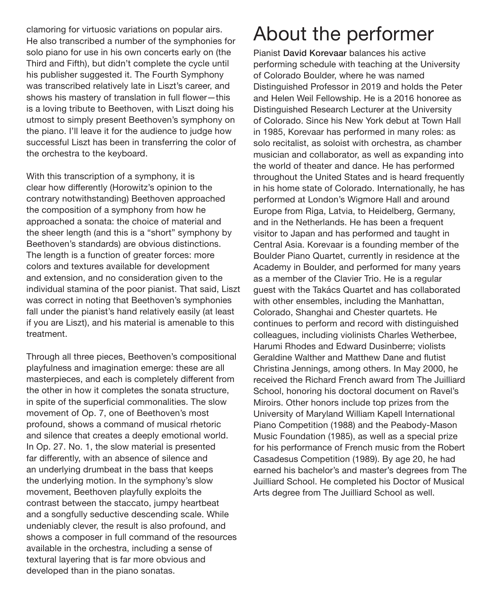clamoring for virtuosic variations on popular airs. He also transcribed a number of the symphonies for solo piano for use in his own concerts early on (the Third and Fifth), but didn't complete the cycle until his publisher suggested it. The Fourth Symphony was transcribed relatively late in Liszt's career, and shows his mastery of translation in full flower—this is a loving tribute to Beethoven, with Liszt doing his utmost to simply present Beethoven's symphony on the piano. I'll leave it for the audience to judge how successful Liszt has been in transferring the color of the orchestra to the keyboard.

With this transcription of a symphony, it is clear how differently (Horowitz's opinion to the contrary notwithstanding) Beethoven approached the composition of a symphony from how he approached a sonata: the choice of material and the sheer length (and this is a "short" symphony by Beethoven's standards) are obvious distinctions. The length is a function of greater forces: more colors and textures available for development and extension, and no consideration given to the individual stamina of the poor pianist. That said, Liszt was correct in noting that Beethoven's symphonies fall under the pianist's hand relatively easily (at least if you are Liszt), and his material is amenable to this treatment.

Through all three pieces, Beethoven's compositional playfulness and imagination emerge: these are all masterpieces, and each is completely different from the other in how it completes the sonata structure, in spite of the superficial commonalities. The slow movement of Op. 7, one of Beethoven's most profound, shows a command of musical rhetoric and silence that creates a deeply emotional world. In Op. 27. No. 1, the slow material is presented far differently, with an absence of silence and an underlying drumbeat in the bass that keeps the underlying motion. In the symphony's slow movement, Beethoven playfully exploits the contrast between the staccato, jumpy heartbeat and a songfully seductive descending scale. While undeniably clever, the result is also profound, and shows a composer in full command of the resources available in the orchestra, including a sense of textural layering that is far more obvious and developed than in the piano sonatas.

# About the performer

Pianist David Korevaar balances his active performing schedule with teaching at the University of Colorado Boulder, where he was named Distinguished Professor in 2019 and holds the Peter and Helen Weil Fellowship. He is a 2016 honoree as Distinguished Research Lecturer at the University of Colorado. Since his New York debut at Town Hall in 1985, Korevaar has performed in many roles: as solo recitalist, as soloist with orchestra, as chamber musician and collaborator, as well as expanding into the world of theater and dance. He has performed throughout the United States and is heard frequently in his home state of Colorado. Internationally, he has performed at London's Wigmore Hall and around Europe from Riga, Latvia, to Heidelberg, Germany, and in the Netherlands. He has been a frequent visitor to Japan and has performed and taught in Central Asia. Korevaar is a founding member of the Boulder Piano Quartet, currently in residence at the Academy in Boulder, and performed for many years as a member of the Clavier Trio. He is a regular guest with the Takács Quartet and has collaborated with other ensembles, including the Manhattan, Colorado, Shanghai and Chester quartets. He continues to perform and record with distinguished colleagues, including violinists Charles Wetherbee, Harumi Rhodes and Edward Dusinberre; violists Geraldine Walther and Matthew Dane and flutist Christina Jennings, among others. In May 2000, he received the Richard French award from The Juilliard School, honoring his doctoral document on Ravel's Miroirs. Other honors include top prizes from the University of Maryland William Kapell International Piano Competition (1988) and the Peabody-Mason Music Foundation (1985), as well as a special prize for his performance of French music from the Robert Casadesus Competition (1989). By age 20, he had earned his bachelor's and master's degrees from The Juilliard School. He completed his Doctor of Musical Arts degree from The Juilliard School as well.